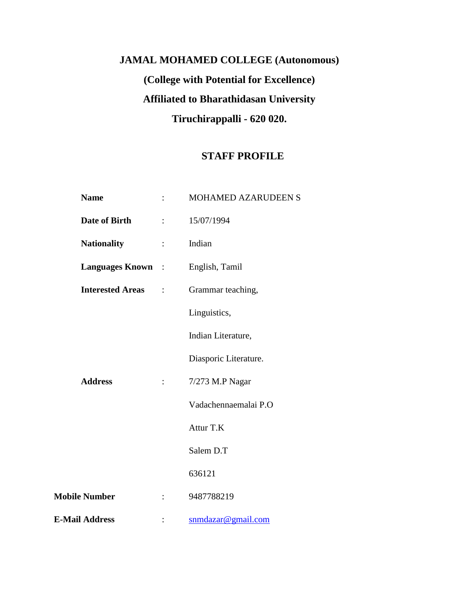# **JAMAL MOHAMED COLLEGE (Autonomous) (College with Potential for Excellence) Affiliated to Bharathidasan University Tiruchirappalli - 620 020.**

# **STAFF PROFILE**

| <b>Name</b>              |                           | MOHAMED AZARUDEEN S   |  |
|--------------------------|---------------------------|-----------------------|--|
| <b>Date of Birth</b>     |                           | 15/07/1994            |  |
| <b>Nationality</b>       | $\mathbb{R}^{\mathbb{Z}}$ | Indian                |  |
| <b>Languages Known</b> : |                           | English, Tamil        |  |
| <b>Interested Areas</b>  | $\ddot{\cdot}$            | Grammar teaching,     |  |
|                          |                           | Linguistics,          |  |
|                          |                           | Indian Literature,    |  |
|                          |                           | Diasporic Literature. |  |
| <b>Address</b>           | $\mathbb{R}^{\mathbb{Z}}$ | 7/273 M.P Nagar       |  |
|                          |                           | Vadachennaemalai P.O  |  |
|                          |                           | Attur T.K             |  |
|                          |                           | Salem D.T             |  |
|                          |                           | 636121                |  |
| <b>Mobile Number</b>     |                           | 9487788219            |  |
| <b>E-Mail Address</b>    |                           | snmdazar@gmail.com    |  |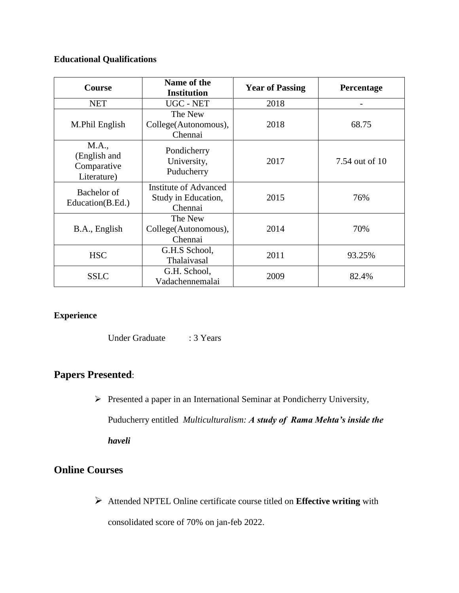### **Educational Qualifications**

| <b>Course</b>                                       | Name of the<br><b>Institution</b>                              | <b>Year of Passing</b> | Percentage     |
|-----------------------------------------------------|----------------------------------------------------------------|------------------------|----------------|
| <b>NET</b>                                          | UGC - NET                                                      | 2018                   |                |
| M.Phil English                                      | The New<br>College(Autonomous),<br>Chennai                     | 2018                   | 68.75          |
| M.A.,<br>(English and<br>Comparative<br>Literature) | Pondicherry<br>University,<br>Puducherry                       | 2017                   | 7.54 out of 10 |
| Bachelor of<br>Education(B.Ed.)                     | <b>Institute of Advanced</b><br>Study in Education,<br>Chennai | 2015                   | 76%            |
| B.A., English                                       | The New<br>College(Autonomous),<br>Chennai                     | 2014                   | 70%            |
| <b>HSC</b>                                          | G.H.S School,<br>Thalaivasal                                   | 2011                   | 93.25%         |
| <b>SSLC</b>                                         | G.H. School,<br>Vadachennemalai                                | 2009                   | 82.4%          |

#### **Experience**

Under Graduate : 3 Years

## **Papers Presented**:

 $\triangleright$  Presented a paper in an International Seminar at Pondicherry University,

Puducherry entitled *Multiculturalism: A study of Rama Mehta's inside the* 

*haveli* 

# **Online Courses**

 Attended NPTEL Online certificate course titled on **Effective writing** with consolidated score of 70% on jan-feb 2022.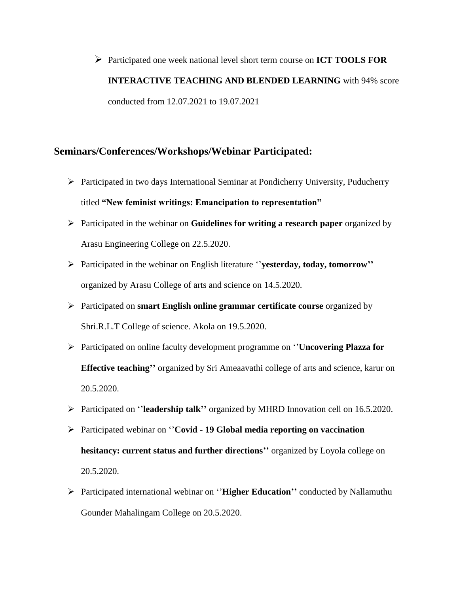Participated one week national level short term course on **ICT TOOLS FOR INTERACTIVE TEACHING AND BLENDED LEARNING** with 94% score conducted from 12.07.2021 to 19.07.2021

#### **Seminars/Conferences/Workshops/Webinar Participated:**

- Participated in two days International Seminar at Pondicherry University, Puducherry titled **"New feminist writings: Emancipation to representation"**
- Participated in the webinar on **Guidelines for writing a research paper** organized by Arasu Engineering College on 22.5.2020.
- Participated in the webinar on English literature ''**yesterday, today, tomorrow''** organized by Arasu College of arts and science on 14.5.2020.
- Participated on **smart English online grammar certificate course** organized by Shri.R.L.T College of science. Akola on 19.5.2020.
- Participated on online faculty development programme on ''**Uncovering Plazza for Effective teaching''** organized by Sri Ameaavathi college of arts and science, karur on 20.5.2020.
- Participated on ''**leadership talk''** organized by MHRD Innovation cell on 16.5.2020.
- Participated webinar on ''**Covid - 19 Global media reporting on vaccination hesitancy: current status and further directions''** organized by Loyola college on 20.5.2020.
- Participated international webinar on ''**Higher Education''** conducted by Nallamuthu Gounder Mahalingam College on 20.5.2020.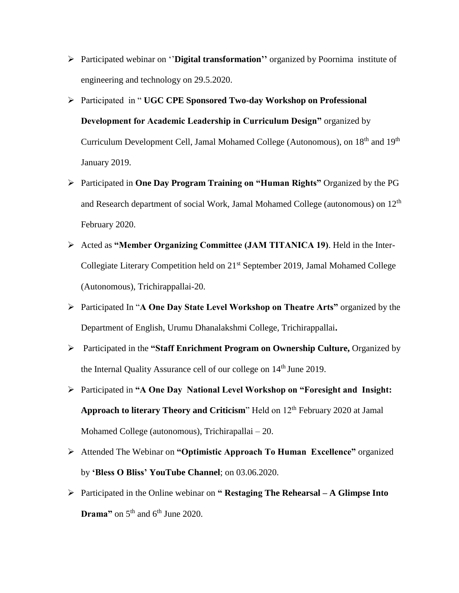- Participated webinar on ''**Digital transformation''** organized by Poornima institute of engineering and technology on 29.5.2020.
- Participated in " **UGC CPE Sponsored Two-day Workshop on Professional Development for Academic Leadership in Curriculum Design"** organized by Curriculum Development Cell, Jamal Mohamed College (Autonomous), on 18<sup>th</sup> and 19<sup>th</sup> January 2019.
- Participated in **One Day Program Training on "Human Rights"** Organized by the PG and Research department of social Work, Jamal Mohamed College (autonomous) on 12th February 2020.
- Acted as **"Member Organizing Committee (JAM TITANICA 19)**. Held in the Inter-Collegiate Literary Competition held on 21<sup>st</sup> September 2019, Jamal Mohamed College (Autonomous), Trichirappallai-20.
- Participated In "**A One Day State Level Workshop on Theatre Arts"** organized by the Department of English, Urumu Dhanalakshmi College, Trichirappallai**.**
- Participated in the **"Staff Enrichment Program on Ownership Culture,** Organized by the Internal Quality Assurance cell of our college on  $14<sup>th</sup>$  June 2019.
- Participated in **"A One Day National Level Workshop on "Foresight and Insight:**  Approach to literary Theory and Criticism" Held on 12<sup>th</sup> February 2020 at Jamal Mohamed College (autonomous), Trichirapallai – 20.
- Attended The Webinar on **"Optimistic Approach To Human Excellence"** organized by **'Bless O Bliss' YouTube Channel**; on 03.06.2020.
- Participated in the Online webinar on **" Restaging The Rehearsal – A Glimpse Into Drama**" on  $5<sup>th</sup>$  and  $6<sup>th</sup>$  June 2020.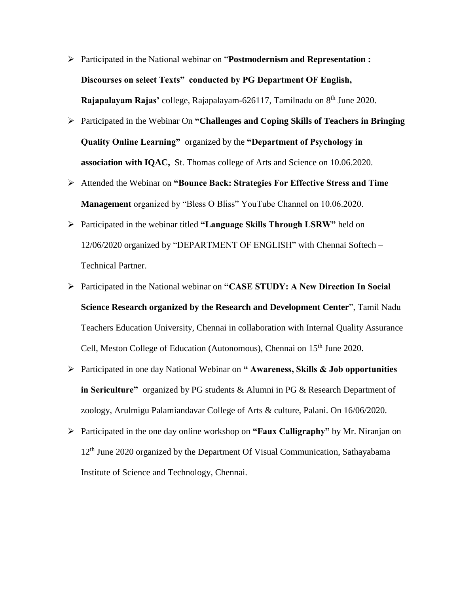- Participated in the National webinar on "**Postmodernism and Representation : Discourses on select Texts" conducted by PG Department OF English, Rajapalayam Rajas'** college, Rajapalayam-626117, Tamilnadu on 8<sup>th</sup> June 2020.
- Participated in the Webinar On **"Challenges and Coping Skills of Teachers in Bringing Quality Online Learning"** organized by the **"Department of Psychology in association with IQAC,** St. Thomas college of Arts and Science on 10.06.2020.
- Attended the Webinar on **"Bounce Back: Strategies For Effective Stress and Time Management** organized by "Bless O Bliss" YouTube Channel on 10.06.2020.
- Participated in the webinar titled **"Language Skills Through LSRW"** held on 12/06/2020 organized by "DEPARTMENT OF ENGLISH" with Chennai Softech – Technical Partner.
- Participated in the National webinar on **"CASE STUDY: A New Direction In Social Science Research organized by the Research and Development Center**", Tamil Nadu Teachers Education University, Chennai in collaboration with Internal Quality Assurance Cell, Meston College of Education (Autonomous), Chennai on 15<sup>th</sup> June 2020.
- Participated in one day National Webinar on **" Awareness, Skills & Job opportunities in Sericulture"** organized by PG students & Alumni in PG & Research Department of zoology, Arulmigu Palamiandavar College of Arts & culture, Palani. On 16/06/2020.
- Participated in the one day online workshop on **"Faux Calligraphy"** by Mr. Niranjan on 12<sup>th</sup> June 2020 organized by the Department Of Visual Communication, Sathayabama Institute of Science and Technology, Chennai.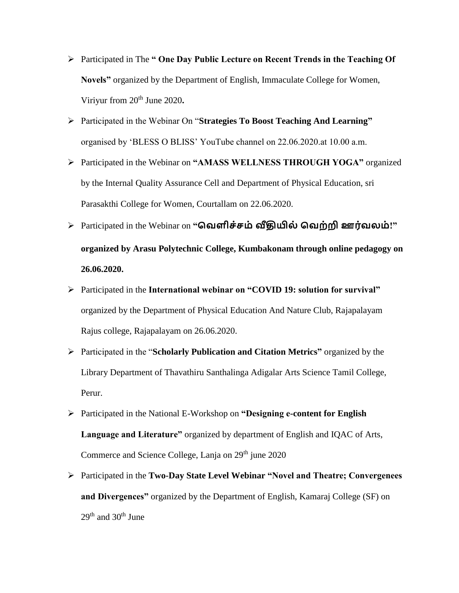- Participated in The **" One Day Public Lecture on Recent Trends in the Teaching Of Novels"** organized by the Department of English, Immaculate College for Women, Viriyur from 20<sup>th</sup> June 2020.
- Participated in the Webinar On "**Strategies To Boost Teaching And Learning"** organised by 'BLESS O BLISS' YouTube channel on 22.06.2020.at 10.00 a.m.
- Participated in the Webinar on **"AMASS WELLNESS THROUGH YOGA"** organized by the Internal Quality Assurance Cell and Department of Physical Education, sri Parasakthi College for Women, Courtallam on 22.06.2020.
- Participated in the Webinar on **"வெளிச்சம் வீதியில் வெற்றி ஊர்ெலம்!" organized by Arasu Polytechnic College, Kumbakonam through online pedagogy on 26.06.2020.**
- Participated in the **International webinar on "COVID 19: solution for survival"** organized by the Department of Physical Education And Nature Club, Rajapalayam Rajus college, Rajapalayam on 26.06.2020.
- Participated in the "**Scholarly Publication and Citation Metrics"** organized by the Library Department of Thavathiru Santhalinga Adigalar Arts Science Tamil College, Perur.
- Participated in the National E-Workshop on **"Designing e-content for English Language and Literature"** organized by department of English and IQAC of Arts, Commerce and Science College, Lanja on 29<sup>th</sup> june 2020
- Participated in the **Two-Day State Level Webinar "Novel and Theatre; Convergenees and Divergences"** organized by the Department of English, Kamaraj College (SF) on  $29<sup>th</sup>$  and  $30<sup>th</sup>$  June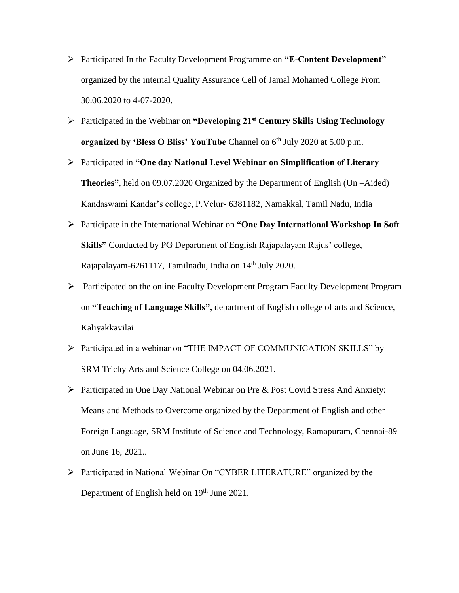- Participated In the Faculty Development Programme on **"E-Content Development"**  organized by the internal Quality Assurance Cell of Jamal Mohamed College From 30.06.2020 to 4-07-2020.
- Participated in the Webinar on **"Developing 21st Century Skills Using Technology organized by 'Bless O Bliss' YouTube** Channel on 6<sup>th</sup> July 2020 at 5.00 p.m.
- Participated in **"One day National Level Webinar on Simplification of Literary Theories"**, held on 09.07.2020 Organized by the Department of English (Un –Aided) Kandaswami Kandar's college, P.Velur- 6381182, Namakkal, Tamil Nadu, India
- Participate in the International Webinar on **"One Day International Workshop In Soft Skills"** Conducted by PG Department of English Rajapalayam Rajus' college, Rajapalayam-6261117, Tamilnadu, India on 14<sup>th</sup> July 2020.
- .Participated on the online Faculty Development Program Faculty Development Program on **"Teaching of Language Skills",** department of English college of arts and Science, Kaliyakkavilai.
- Participated in a webinar on "THE IMPACT OF COMMUNICATION SKILLS" by SRM Trichy Arts and Science College on 04.06.2021.
- Participated in One Day National Webinar on Pre & Post Covid Stress And Anxiety: Means and Methods to Overcome organized by the Department of English and other Foreign Language, SRM Institute of Science and Technology, Ramapuram, Chennai-89 on June 16, 2021..
- Participated in National Webinar On "CYBER LITERATURE" organized by the Department of English held on 19<sup>th</sup> June 2021.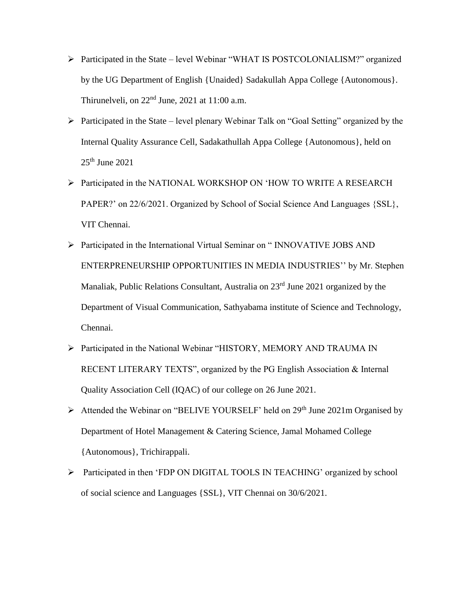- Participated in the State level Webinar "WHAT IS POSTCOLONIALISM?" organized by the UG Department of English {Unaided} Sadakullah Appa College {Autonomous}. Thirunelveli, on  $22<sup>nd</sup>$  June,  $2021$  at  $11:00$  a.m.
- $\triangleright$  Participated in the State level plenary Webinar Talk on "Goal Setting" organized by the Internal Quality Assurance Cell, Sadakathullah Appa College {Autonomous}, held on  $25<sup>th</sup>$  June 2021
- Participated in the NATIONAL WORKSHOP ON 'HOW TO WRITE A RESEARCH PAPER?' on 22/6/2021. Organized by School of Social Science And Languages {SSL}, VIT Chennai.
- Participated in the International Virtual Seminar on " INNOVATIVE JOBS AND ENTERPRENEURSHIP OPPORTUNITIES IN MEDIA INDUSTRIES'' by Mr. Stephen Manaliak, Public Relations Consultant, Australia on 23<sup>rd</sup> June 2021 organized by the Department of Visual Communication, Sathyabama institute of Science and Technology, Chennai.
- Participated in the National Webinar "HISTORY, MEMORY AND TRAUMA IN RECENT LITERARY TEXTS", organized by the PG English Association & Internal Quality Association Cell (IQAC) of our college on 26 June 2021.
- $\triangleright$  Attended the Webinar on "BELIVE YOURSELF' held on 29<sup>th</sup> June 2021m Organised by Department of Hotel Management & Catering Science, Jamal Mohamed College {Autonomous}, Trichirappali.
- Participated in then 'FDP ON DIGITAL TOOLS IN TEACHING' organized by school of social science and Languages {SSL}, VIT Chennai on 30/6/2021.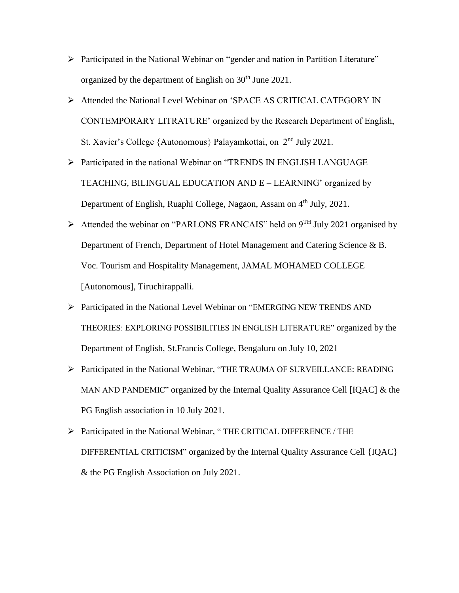- Participated in the National Webinar on "gender and nation in Partition Literature" organized by the department of English on  $30<sup>th</sup>$  June 2021.
- Attended the National Level Webinar on 'SPACE AS CRITICAL CATEGORY IN CONTEMPORARY LITRATURE' organized by the Research Department of English, St. Xavier's College {Autonomous} Palayamkottai, on  $2<sup>nd</sup>$  July 2021.
- Participated in the national Webinar on "TRENDS IN ENGLISH LANGUAGE TEACHING, BILINGUAL EDUCATION AND E – LEARNING' organized by Department of English, Ruaphi College, Nagaon, Assam on 4<sup>th</sup> July, 2021.
- $\triangleright$  Attended the webinar on "PARLONS FRANCAIS" held on 9<sup>TH</sup> July 2021 organised by Department of French, Department of Hotel Management and Catering Science & B. Voc. Tourism and Hospitality Management, JAMAL MOHAMED COLLEGE [Autonomous], Tiruchirappalli.
- Participated in the National Level Webinar on "EMERGING NEW TRENDS AND THEORIES: EXPLORING POSSIBILITIES IN ENGLISH LITERATURE" organized by the Department of English, St.Francis College, Bengaluru on July 10, 2021
- Participated in the National Webinar, "THE TRAUMA OF SURVEILLANCE: READING MAN AND PANDEMIC" organized by the Internal Quality Assurance Cell [IQAC] & the PG English association in 10 July 2021.
- Participated in the National Webinar, " THE CRITICAL DIFFERENCE / THE DIFFERENTIAL CRITICISM" organized by the Internal Quality Assurance Cell {IQAC} & the PG English Association on July 2021.